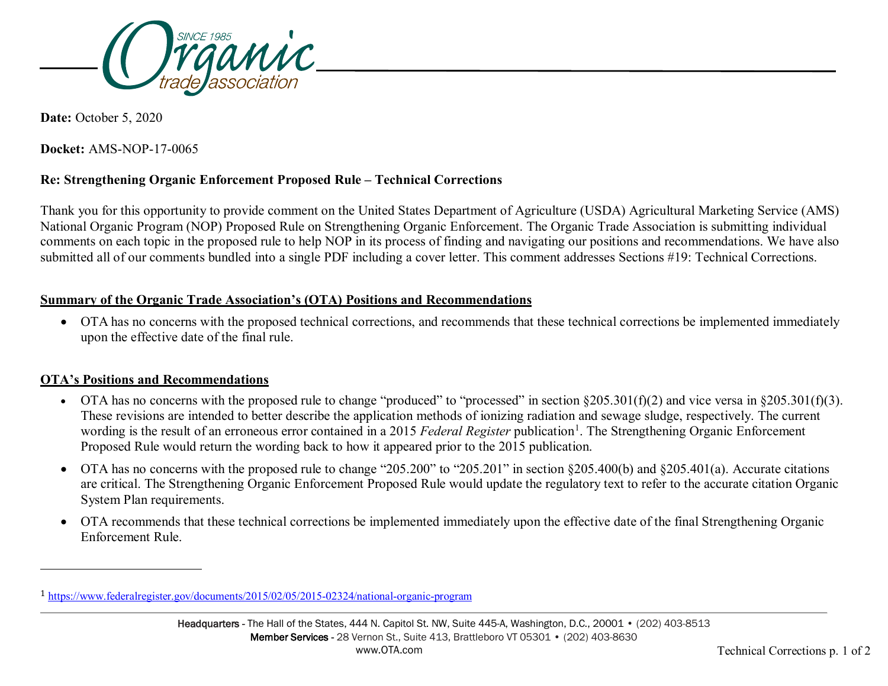<span id="page-0-0"></span>

**Date:** October 5, 2020

-

**Docket:** AMS-NOP-17-0065

## **Re: Strengthening Organic Enforcement Proposed Rule – Technical Corrections**

Thank you for this opportunity to provide comment on the United States Department of Agriculture (USDA) Agricultural Marketing Service (AMS) National Organic Program (NOP) Proposed Rule on Strengthening Organic Enforcement. The Organic Trade Association is submitting individual comments on each topic in the proposed rule to help NOP in its process of finding and navigating our positions and recommendations. We have also submitted all of our comments bundled into a single PDF including a cover letter. This comment addresses Sections #19: Technical Corrections.

## **Summary of the Organic Trade Association's (OTA) Positions and Recommendations**

• OTA has no concerns with the proposed technical corrections, and recommends that these technical corrections be implemented immediately upon the effective date of the final rule.

## **OTA's Positions and Recommendations**

- OTA has no concerns with the proposed rule to change "produced" to "processed" in section  $\S205.301(f)(2)$  and vice versa in  $\S205.301(f)(3)$ . These revisions are intended to better describe the application methods of ionizing radiation and sewage sludge, respectively. The current wording is the result of an erroneous error contained in a 20[1](#page-0-0)5 Federal Register publication<sup>1</sup>. The Strengthening Organic Enforcement Proposed Rule would return the wording back to how it appeared prior to the 2015 publication.
- OTA has no concerns with the proposed rule to change "205.200" to "205.201" in section §205.400(b) and §205.401(a). Accurate citations are critical. The Strengthening Organic Enforcement Proposed Rule would update the regulatory text to refer to the accurate citation Organic System Plan requirements.
- OTA recommends that these technical corrections be implemented immediately upon the effective date of the final Strengthening Organic Enforcement Rule.

<sup>1</sup> <https://www.federalregister.gov/documents/2015/02/05/2015-02324/national-organic-program>